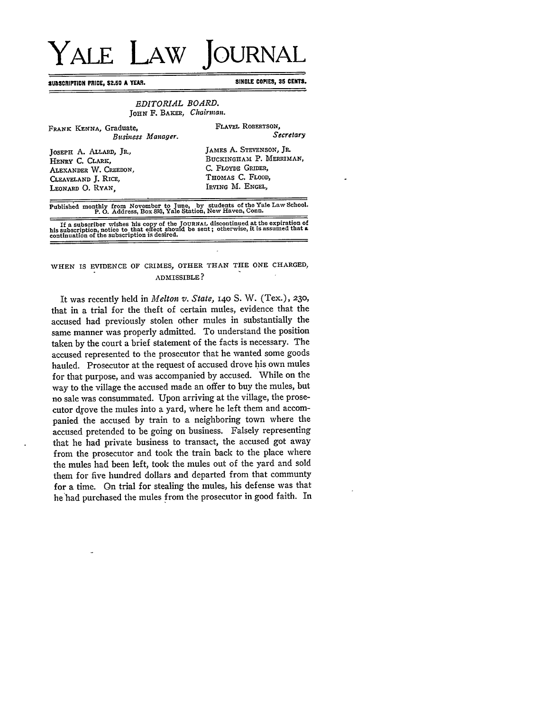## YALE LAW **JOURNAL**

**SUBSCRIPTION PRICE, \$2.50 A YEAR.** SINGLE COPIES, 35 CENTS.

## *EDITORIAL BOARD.* **JOHN F.** BAKER, *Chairman.*

| FRANK KENNA, Graduate,                                                                                                                 | FLAVEL ROBERTSON,       |
|----------------------------------------------------------------------------------------------------------------------------------------|-------------------------|
| Business Manager.                                                                                                                      | Secretary               |
| JOSEPH A. ALLARD, JR.,                                                                                                                 | JAMES A. STEVENSON, JR. |
| HENRY C. CLARK,                                                                                                                        | BUCKINGHAM P. MERRIMAN, |
| ALEXANDER W. CREEDON,                                                                                                                  | C. FLOYDE GRIDER.       |
| CLEAVELAND J. RICE,                                                                                                                    | THOMAS C. FLOOD.        |
| LEONARD O. RYAN.                                                                                                                       | IRVING M. ENGEL,        |
| Published monthly from November to June, by students of the Yale Law School.<br>P. O. Address, Box 893, Yale Station, New Haven, Conn. |                         |

If a subscriber wishes his copy of the JOURNAL discontinued at the expiration of<br>his subscription, notice to that effect should be sent; otherwise, it is assumed that a<br>continuation of the subscription is desired.

## **WHEN IS EVIDENCE** OF CRIMES, OTHER **THAN THE ONE** CHARGED, ADMISSIBLE?

It was recently held in *Melton v. State*, 140 S. W. (Tex.), 230, that in a trial for the theft of certain mules, evidence that the accused had previously stolen other mules in substantially the same manner was properly admitted. To understand the position taken by the court a brief statement of the facts is necessary. The accused represented to the prosecutor that he wanted some goods hauled. Prosecutor at the request of accused drove his own mules for that purpose, and was accompanied by accused. While on the way to the village the accused made an offer to buy the mules, but no sale was consummated. Upon arriving at the village, the prosecutor drove the mules into a yard, where he left them and accompanied the accused by train to a neighboring town where the accused pretended to be going on business. Falsely representing that he had private business to transact, the accused got away from the prosecutor and took the train back to the place where the mules had been left, took the mules out of the yard and sold them for five hundred dollars and departed from that communty for a time. On trial for stealing the mules, his defense was that he'had purchased the mules from the prosecutor in good faith. In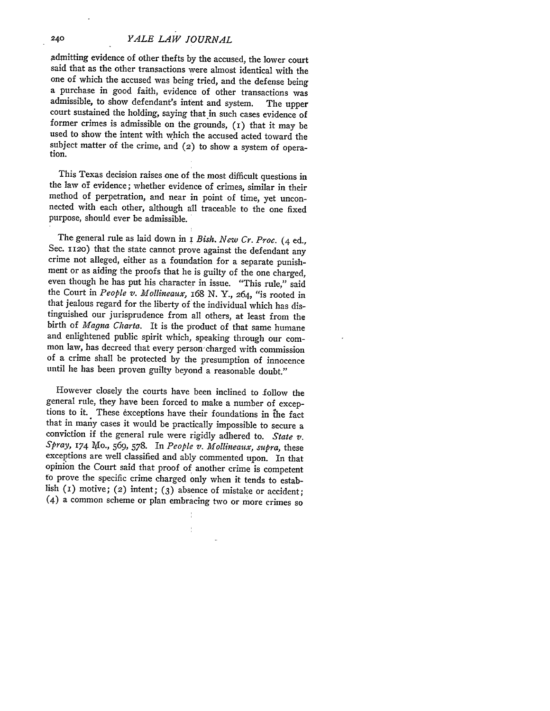admitting evidence of other thefts **by** the accused, the lower court said that as the other transactions were almost identical with the one of which the accused was being tried, and the defense being a purchase in good faith, evidence of other transactions was admissible, to show defendant's intent and system. The upper court sustained the holding, saying that in such cases evidence of former crimes is admissible on the grounds, (i) that it may be used to show the intent with which the accused acted toward the subject matter of the crime, and (2) to show a system of operation.

This Texas decision raises one of the most difficult questions in the law **of** evidence; whether evidence of crimes, similar in their method of perpetration, and near in point of time, yet unconnected with each other, although all traceable to the one fixed purpose, should ever **be** admissible.

The general rule as laid down in **i** *Bish. New Cr. Proc.* (4 ed., Sec. **T120)** that the state cannot prove against the defendant any crime not alleged, either as a foundation for a separate punishment or as aiding the proofs that he is guilty of the one charged, even though he has put his character in issue. "This rule," said the Court in *People v. Mollineaux, 168* **N.** Y., 264, "is rooted in that jealous regard for the liberty of the individual which has distinguished our jurisprudence from all others, at least from the birth of *Magna Charta.* It is the product of that same humane and enlightened public spirit which, speaking through our common law, has decreed that every person charged with commission of a crime shall be protected by the presumption of innocence until he has been proven guilty beyond a reasonable doubt."

However closely the courts have been inclined to follow the general rule, they have been forced to make a number of exceptions to it. These exceptions have their foundations in the fact that in many cases it would be practically impossible to secure a conviction if the general rule were rigidly adhered to. *State v. Spray, 174* 1ylo., 569, **578.** In *People v. Mollineaux, supra,* these exceptions are well classified and ably commented upon. In that opinion the Court said that proof of another crime is competent to prove the specific crime charged only when it tends to establish (1) motive; (2) intent; (3) absence of mistake or accident; (4) a common scheme or plan embracing two or more crimes so

240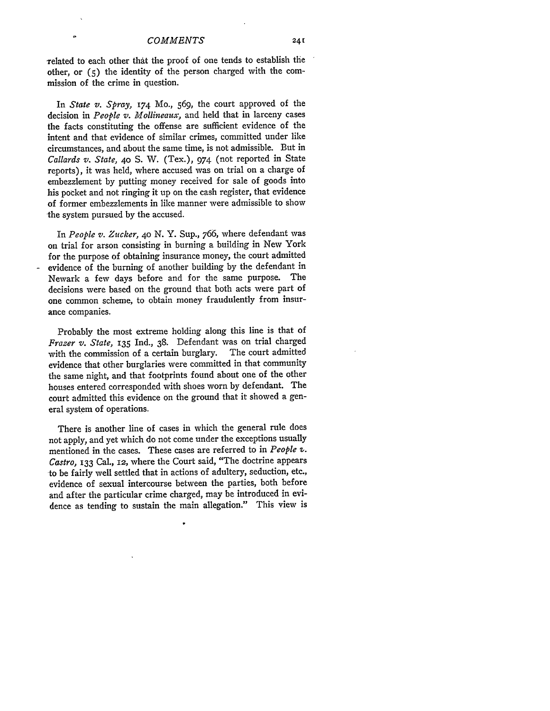-related to each other that the proof of one tends to establish the other, or **(5)** the identity of the person charged with the commission of the crime in question.

In *State v. Spray,* **174** Mo., 569, the court approved of the decision in *People v. Mollineaux,* and held that in larceny cases the facts constituting the offense are sufficient evidence of the intent and that evidence of similar crimes, committed under like circumstances, and about the same time, is not admissible. But in *Callards v. State,* **40 S.** W. (Tex.), 974 (not reported in State reports), it was held, where accused was on trial on a charge of embezzlement by putting money received for sale of goods into his pocket and not ringing it up on the cash register, that evidence of former embezzlements in like manner were admissible to show the system pursued by the accused.

In *People v. Zucker,* **40** N. Y. Sup., 766, where defendant was on trial for arson consisting in burning a building in New York for the purpose of obtaining insurance money, the court admitted evidence of the burning of another building by the defendant in Newark a few days before and for the same purpose. The decisions were based on the ground that both acts were part of one common scheme, to obtain money fraudulently from insurance companies.

Probably the most extreme holding along this line is that of *Frazer v. State,* **135** Ind., 38. Defendant was on trial charged with the commission of a certain burglary. The court admitted evidence that other burglaries were committed in that community the same night, and that footprints found about one of the other houses entered corresponded with shoes worn by defendant. The court admitted this evidence on the ground that it showed a general system of operations.

There is another line of cases in which the general rule does not apply, and yet which do not come under the exceptions usually mentioned in the cases. These cases are referred to in *People Z. Castro,* **133** Cal., **12,** where the Court said, "The doctrine appears to be fairly well settled that in actions of adultery, seduction, etc., evidence of sexual intercourse between the parties, both before and after the particular crime charged, may be introduced in evidence as tending to sustain the main allegation." This view is